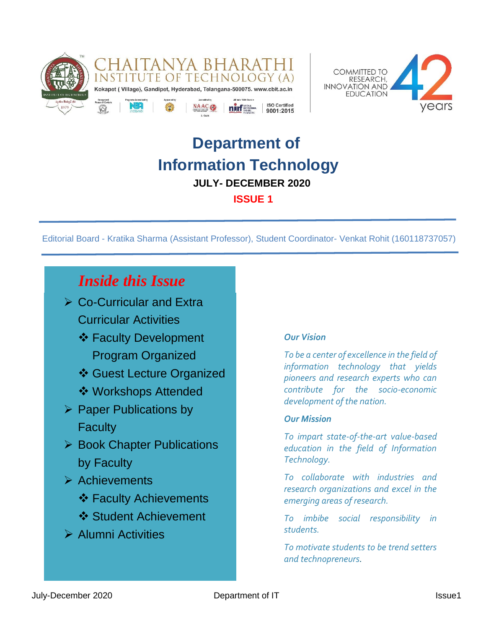



# **Department of Information Technology JULY- DECEMBER 2020 ISSUE 1**

Editorial Board - Kratika Sharma (Assistant Professor), Student Coordinator- Venkat Rohit (160118737057)

## *Inside this Issue*

- ➢ Co-Curricular and Extra Curricular Activities
	- ❖ Faculty Development Program Organized
	- ❖ Guest Lecture Organized
	- ❖ Workshops Attended
- ➢ Paper Publications by **Faculty**
- ➢ Book Chapter Publications by Faculty
- ➢ Achievements
	- **❖ Faculty Achievements**
	- **❖ Student Achievement**
- ➢ Alumni Activities

### *Our Vision*

*To be a center of excellence in the field of information technology that yields pioneers and research experts who can contribute for the socio-economic development of the nation.*

### *Our Mission*

*To impart state-of-the-art value-based education in the field of Information Technology.*

*To collaborate with industries and research organizations and excel in the emerging areas of research.*

*To imbibe social responsibility in students.*

*To motivate students to be trend setters and technopreneurs.*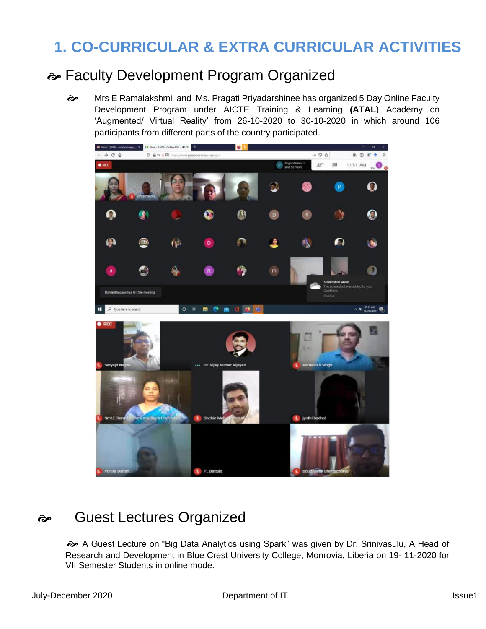# **1. CO-CURRICULAR & EXTRA CURRICULAR ACTIVITIES**

## Faculty Development Program Organized

 $\Leftrightarrow$  Mrs E Ramalakshmi and Ms. Pragati Priyadarshinee has organized 5 Day Online Faculty Development Program under AICTE Training & Learning **(ATAL**) Academy on 'Augmented/ Virtual Reality' from 26-10-2020 to 30-10-2020 in which around 106 participants from different parts of the country participated.



## Guest Lectures Organized

 A Guest Lecture on "Big Data Analytics using Spark" was given by Dr. Srinivasulu, A Head of Research and Development in Blue Crest University College, Monrovia, Liberia on 19- 11-2020 for VII Semester Students in online mode.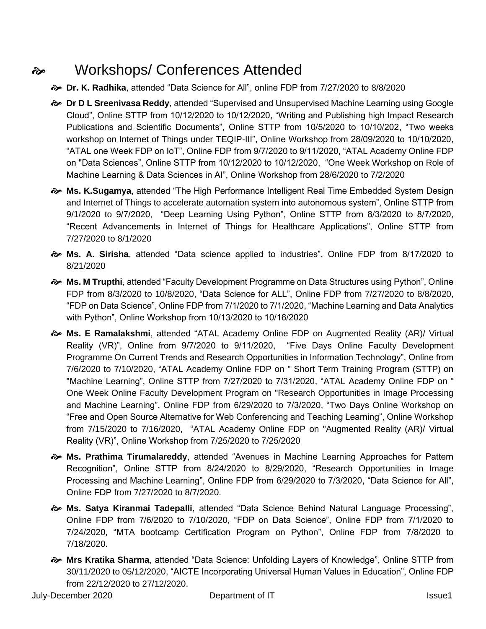# Workshops/ Conferences Attended

- **Dr. K. Radhika**, attended "Data Science for All", online FDP from 7/27/2020 to 8/8/2020
- $\Leftrightarrow$  **Dr D L Sreenivasa Reddy**, attended "Supervised and Unsupervised Machine Learning using Google Cloud", Online STTP from 10/12/2020 to 10/12/2020, "Writing and Publishing high Impact Research Publications and Scientific Documents", Online STTP from 10/5/2020 to 10/10/202, "Two weeks workshop on Internet of Things under TEQIP-III", Online Workshop from 28/09/2020 to 10/10/2020, "ATAL one Week FDP on IoT", Online FDP from 9/7/2020 to 9/11/2020, "ATAL Academy Online FDP on "Data Sciences", Online STTP from 10/12/2020 to 10/12/2020, "One Week Workshop on Role of Machine Learning & Data Sciences in AI", Online Workshop from 28/6/2020 to 7/2/2020
- **Ms. K.Sugamya**, attended "The High Performance Intelligent Real Time Embedded System Design and Internet of Things to accelerate automation system into autonomous system", Online STTP from 9/1/2020 to 9/7/2020, "Deep Learning Using Python", Online STTP from 8/3/2020 to 8/7/2020, "Recent Advancements in Internet of Things for Healthcare Applications", Online STTP from 7/27/2020 to 8/1/2020
- **Ms. A. Sirisha**, attended "Data science applied to industries", Online FDP from 8/17/2020 to 8/21/2020
- **Ms. M Trupthi**, attended "Faculty Development Programme on Data Structures using Python", Online FDP from 8/3/2020 to 10/8/2020, "Data Science for ALL", Online FDP from 7/27/2020 to 8/8/2020, "FDP on Data Science", Online FDP from 7/1/2020 to 7/1/2020, "Machine Learning and Data Analytics with Python", Online Workshop from 10/13/2020 to 10/16/2020
- **Ms. E Ramalakshmi**, attended "ATAL Academy Online FDP on Augmented Reality (AR)/ Virtual Reality (VR)", Online from 9/7/2020 to 9/11/2020, "Five Days Online Faculty Development Programme On Current Trends and Research Opportunities in Information Technology", Online from 7/6/2020 to 7/10/2020, "ATAL Academy Online FDP on " Short Term Training Program (STTP) on "Machine Learning", Online STTP from 7/27/2020 to 7/31/2020, "ATAL Academy Online FDP on " One Week Online Faculty Development Program on "Research Opportunities in Image Processing and Machine Learning", Online FDP from 6/29/2020 to 7/3/2020, "Two Days Online Workshop on "Free and Open Source Alternative for Web Conferencing and Teaching Learning", Online Workshop from 7/15/2020 to 7/16/2020, "ATAL Academy Online FDP on "Augmented Reality (AR)/ Virtual Reality (VR)", Online Workshop from 7/25/2020 to 7/25/2020
- **Ms. Prathima Tirumalareddy**, attended "Avenues in Machine Learning Approaches for Pattern Recognition", Online STTP from 8/24/2020 to 8/29/2020, "Research Opportunities in Image Processing and Machine Learning", Online FDP from 6/29/2020 to 7/3/2020, "Data Science for All", Online FDP from 7/27/2020 to 8/7/2020.
- **Ms. Satya Kiranmai Tadepalli**, attended "Data Science Behind Natural Language Processing", Online FDP from 7/6/2020 to 7/10/2020, "FDP on Data Science", Online FDP from 7/1/2020 to 7/24/2020, "MTA bootcamp Certification Program on Python", Online FDP from 7/8/2020 to 7/18/2020.
- **Mrs Kratika Sharma**, attended "Data Science: Unfolding Layers of Knowledge", Online STTP from 30/11/2020 to 05/12/2020, "AICTE Incorporating Universal Human Values in Education", Online FDP from 22/12/2020 to 27/12/2020.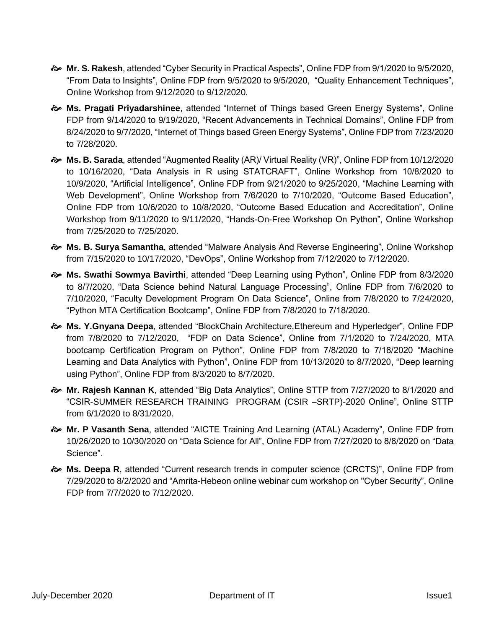- **Mr. S. Rakesh**, attended "Cyber Security in Practical Aspects", Online FDP from 9/1/2020 to 9/5/2020, "From Data to Insights", Online FDP from 9/5/2020 to 9/5/2020, "Quality Enhancement Techniques", Online Workshop from 9/12/2020 to 9/12/2020.
- **Ms. Pragati Priyadarshinee**, attended "Internet of Things based Green Energy Systems", Online FDP from 9/14/2020 to 9/19/2020, "Recent Advancements in Technical Domains", Online FDP from 8/24/2020 to 9/7/2020, "Internet of Things based Green Energy Systems", Online FDP from 7/23/2020 to 7/28/2020.
- **Ms. B. Sarada**, attended "Augmented Reality (AR)/ Virtual Reality (VR)", Online FDP from 10/12/2020 to 10/16/2020, "Data Analysis in R using STATCRAFT", Online Workshop from 10/8/2020 to 10/9/2020, "Artificial Intelligence", Online FDP from 9/21/2020 to 9/25/2020, "Machine Learning with Web Development", Online Workshop from 7/6/2020 to 7/10/2020, "Outcome Based Education", Online FDP from 10/6/2020 to 10/8/2020, "Outcome Based Education and Accreditation", Online Workshop from 9/11/2020 to 9/11/2020, "Hands-On-Free Workshop On Python", Online Workshop from 7/25/2020 to 7/25/2020.
- **Ms. B. Surya Samantha**, attended "Malware Analysis And Reverse Engineering", Online Workshop from 7/15/2020 to 10/17/2020, "DevOps", Online Workshop from 7/12/2020 to 7/12/2020.
- **Ms. Swathi Sowmya Bavirthi**, attended "Deep Learning using Python", Online FDP from 8/3/2020 to 8/7/2020, "Data Science behind Natural Language Processing", Online FDP from 7/6/2020 to 7/10/2020, "Faculty Development Program On Data Science", Online from 7/8/2020 to 7/24/2020, "Python MTA Certification Bootcamp", Online FDP from 7/8/2020 to 7/18/2020.
- **Ms. Y.Gnyana Deepa**, attended "BlockChain Architecture,Ethereum and Hyperledger", Online FDP from 7/8/2020 to 7/12/2020, "FDP on Data Science", Online from 7/1/2020 to 7/24/2020, MTA bootcamp Certification Program on Python", Online FDP from 7/8/2020 to 7/18/2020 "Machine Learning and Data Analytics with Python", Online FDP from 10/13/2020 to 8/7/2020, "Deep learning using Python", Online FDP from 8/3/2020 to 8/7/2020.
- **Mr. Rajesh Kannan K**, attended "Big Data Analytics", Online STTP from 7/27/2020 to 8/1/2020 and "CSIR-SUMMER RESEARCH TRAINING PROGRAM (CSIR –SRTP)-2020 Online", Online STTP from 6/1/2020 to 8/31/2020.
- **Mr. P Vasanth Sena**, attended "AICTE Training And Learning (ATAL) Academy", Online FDP from 10/26/2020 to 10/30/2020 on "Data Science for All", Online FDP from 7/27/2020 to 8/8/2020 on "Data Science".
- $\Leftrightarrow$  **Ms. Deepa R**, attended "Current research trends in computer science (CRCTS)", Online FDP from 7/29/2020 to 8/2/2020 and "Amrita-Hebeon online webinar cum workshop on "Cyber Security", Online FDP from 7/7/2020 to 7/12/2020.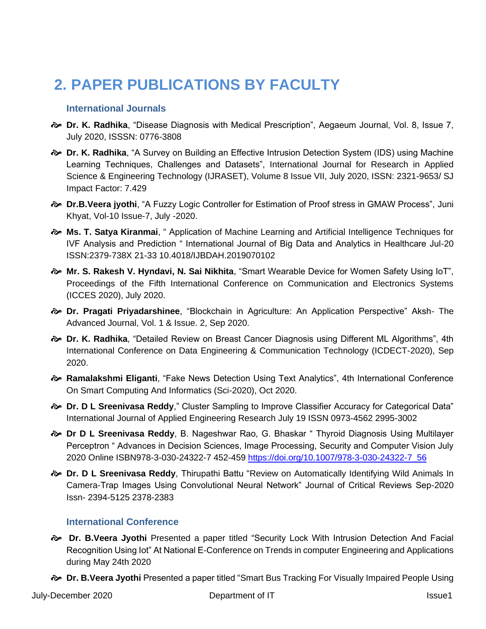# **2. PAPER PUBLICATIONS BY FACULTY**

#### **International Journals**

- **Dr. K. Radhika**, "Disease Diagnosis with Medical Prescription", Aegaeum Journal, Vol. 8, Issue 7, July 2020, ISSSN: 0776-3808
- **Dr. K. Radhika**, "A Survey on Building an Effective Intrusion Detection System (IDS) using Machine Learning Techniques, Challenges and Datasets", International Journal for Research in Applied Science & Engineering Technology (IJRASET), Volume 8 Issue VII, July 2020, ISSN: 2321-9653/ SJ Impact Factor: 7.429
- **Dr.B.Veera jyothi**, "A Fuzzy Logic Controller for Estimation of Proof stress in GMAW Process", Juni Khyat, Vol-10 Issue-7, July -2020.
- **Ms. T. Satya Kiranmai**, " Application of Machine Learning and Artificial Intelligence Techniques for IVF Analysis and Prediction " International Journal of Big Data and Analytics in Healthcare Jul-20 ISSN:2379-738X 21-33 10.4018/IJBDAH.2019070102
- **Mr. S. Rakesh V. Hyndavi, N. Sai Nikhita**, "Smart Wearable Device for Women Safety Using IoT", Proceedings of the Fifth International Conference on Communication and Electronics Systems (ICCES 2020), July 2020.
- **Dr. Pragati Priyadarshinee**, "Blockchain in Agriculture: An Application Perspective" Aksh- The Advanced Journal, Vol. 1 & Issue. 2, Sep 2020.
- **Dr. K. Radhika**, "Detailed Review on Breast Cancer Diagnosis using Different ML Algorithms", 4th International Conference on Data Engineering & Communication Technology (ICDECT-2020), Sep 2020.
- **Ramalakshmi Eliganti**, "Fake News Detection Using Text Analytics", 4th International Conference On Smart Computing And Informatics (Sci-2020), Oct 2020.
- **Dr. D L Sreenivasa Reddy**," Cluster Sampling to Improve Classifier Accuracy for Categorical Data" International Journal of Applied Engineering Research July 19 ISSN 0973-4562 2995-3002
- **Dr D L Sreenivasa Reddy**, B. Nageshwar Rao, G. Bhaskar " Thyroid Diagnosis Using Multilayer Perceptron " Advances in Decision Sciences, Image Processing, Security and Computer Vision July 2020 Online ISBN978-3-030-24322-7 452-459 [https://doi.org/10.1007/978-3-030-24322-7\\_56](https://doi.org/10.1007/978-3-030-24322-7_56)
- **Dr. D L Sreenivasa Reddy**, Thirupathi Battu "Review on Automatically Identifying Wild Animals In Camera-Trap Images Using Convolutional Neural Network" Journal of Critical Reviews Sep-2020 Issn- 2394-5125 2378-2383

#### **International Conference**

- **Dr. B.Veera Jyothi** Presented a paper titled "Security Lock With Intrusion Detection And Facial Recognition Using Iot" At National E-Conference on Trends in computer Engineering and Applications during May 24th 2020
- **Dr. B.Veera Jyothi** Presented a paper titled "Smart Bus Tracking For Visually Impaired People Using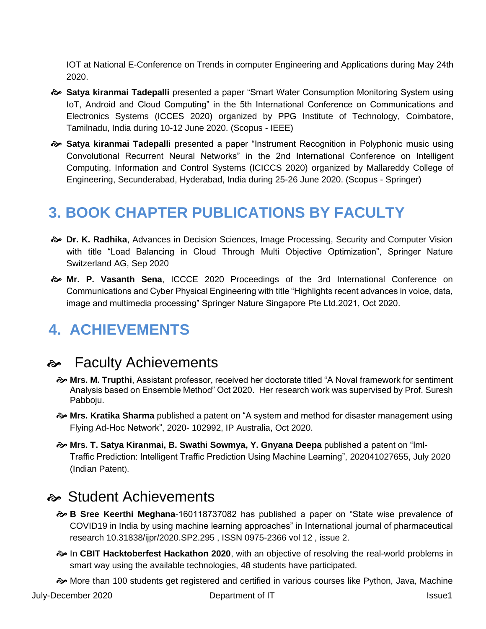IOT at National E-Conference on Trends in computer Engineering and Applications during May 24th 2020.

- **Satya kiranmai Tadepalli** presented a paper "Smart Water Consumption Monitoring System using IoT, Android and Cloud Computing" in the 5th International Conference on Communications and Electronics Systems (ICCES 2020) organized by PPG Institute of Technology, Coimbatore, Tamilnadu, India during 10-12 June 2020. (Scopus - IEEE)
- **Satya kiranmai Tadepalli** presented a paper "Instrument Recognition in Polyphonic music using Convolutional Recurrent Neural Networks" in the 2nd International Conference on Intelligent Computing, Information and Control Systems (ICICCS 2020) organized by Mallareddy College of Engineering, Secunderabad, Hyderabad, India during 25-26 June 2020. (Scopus - Springer)

# **3. BOOK CHAPTER PUBLICATIONS BY FACULTY**

- **Dr. K. Radhika**, Advances in Decision Sciences, Image Processing, Security and Computer Vision with title "Load Balancing in Cloud Through Multi Objective Optimization", Springer Nature Switzerland AG, Sep 2020
- **Mr. P. Vasanth Sena**, ICCCE 2020 Proceedings of the 3rd International Conference on Communications and Cyber Physical Engineering with title "Highlights recent advances in voice, data, image and multimedia processing" Springer Nature Singapore Pte Ltd.2021, Oct 2020.

# **4. ACHIEVEMENTS**

### **A** Faculty Achievements

- **Mrs. M. Trupthi**, Assistant professor, received her doctorate titled "A Noval framework for sentiment Analysis based on Ensemble Method" Oct 2020. Her research work was supervised by Prof. Suresh Pabboju.
- **Mrs. Kratika Sharma** published a patent on "A system and method for disaster management using Flying Ad-Hoc Network", 2020- 102992, IP Australia, Oct 2020.
- **Mrs. T. Satya Kiranmai, B. Swathi Sowmya, Y. Gnyana Deepa** published a patent on "Iml-Traffic Prediction: Intelligent Traffic Prediction Using Machine Learning", 202041027655, July 2020 (Indian Patent).

## Student Achievements

- **B Sree Keerthi Meghana**-160118737082 has published a paper on "State wise prevalence of COVID19 in India by using machine learning approaches" in International journal of pharmaceutical research 10.31838/ijpr/2020.SP2.295 , ISSN 0975-2366 vol 12 , issue 2.
- In **CBIT Hacktoberfest Hackathon 2020**, with an objective of resolving the real-world problems in smart way using the available technologies, 48 students have participated.

More than 100 students get registered and certified in various courses like Python, Java, Machine